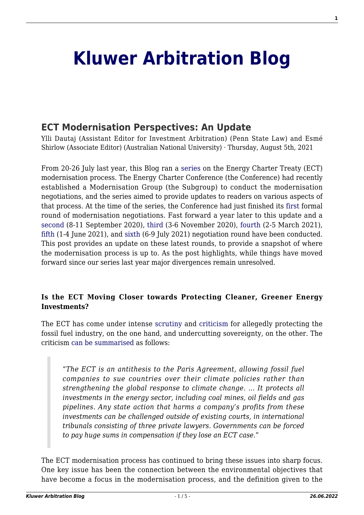# **[Kluwer Arbitration Blog](http://arbitrationblog.kluwerarbitration.com/)**

# **[ECT Modernisation Perspectives: An Update](http://arbitrationblog.kluwerarbitration.com/2021/08/05/ect-modernisation-perspectives-an-update/)**

Ylli Dautaj (Assistant Editor for Investment Arbitration) (Penn State Law) and Esmé Shirlow (Associate Editor) (Australian National University) · Thursday, August 5th, 2021

From 20-26 July last year, this Blog ran a [series](http://arbitrationblog.kluwerarbitration.com/2020/07/20/ect-modernisation-perspectives-an-introduction/) on the Energy Charter Treaty (ECT) modernisation process. The Energy Charter Conference (the Conference) had recently established a Modernisation Group (the Subgroup) to conduct the modernisation negotiations, and the series aimed to provide updates to readers on various aspects of that process. At the time of the series, the Conference had just finished its [first](https://www.energycharter.org/media/news/article/public-communication-on-the-first-negotiation-round-on-the-modernisation-of-the-ect-publichn/) formal round of modernisation negotiations. Fast forward a year later to this update and a [second](https://www.energycharter.org/media/news/article/public-communication-on-the-second-negotiation-round-on-the-modernisation-of-the-ect-publich/) (8-11 September 2020), [third](https://www.energycharter.org/media/news/article/public-communication-on-the-third-negotiation-round-on-the-modernisation-of-the-ect-publichn/) (3-6 November 2020), [fourth](https://www.energycharter.org/media/news/article/public-communication-on-the-fourth-negotiation-round-of-the-modernisation-of-the-ect-publich/) (2-5 March 2021), [fifth](https://www.energycharter.org/media/news/article/public-communication-on-the-fifth-negotiation-round-of-the-modernisation-of-the-ect-publichn/?tx_news_pi1%5Bcontroller%5D=News&tx_news_pi1%5Baction%5D=detail&cHash=2514e99e1dbdd822d88d7bcac7d5745c) (1-4 June 2021), and [sixth](https://www.energycharter.org/media/news/article/public-communication-on-the-sixth-negotiation-round-of-the-modernisation-of-the-ect-publichn/?tx_news_pi1%5Bcontroller%5D=News&tx_news_pi1%5Baction%5D=detail&cHash=31c0ac431197cd4a611e7798e3d26e5a) (6-9 July 2021) negotiation round have been conducted. This post provides an update on these latest rounds, to provide a snapshot of where the modernisation process is up to. As the post highlights, while things have moved forward since our series last year major divergences remain unresolved.

### **Is the ECT Moving Closer towards Protecting Cleaner, Greener Energy Investments?**

The ECT has come under intense [scrutiny](https://energy-charter-dirty-secrets.org/) and [criticism](https://corporateeurope.org/en/2020/12/busting-myths-around-energy-charter-treaty) for allegedly protecting the fossil fuel industry, on the one hand, and undercutting sovereignty, on the other. The criticism [can be summarised](https://www.tni.org/files/publication-downloads/busting_the_myths_around_the_energy_charter_treaty-web.pdf) as follows:

"*The ECT is an antithesis to the Paris Agreement, allowing fossil fuel companies to sue countries over their climate policies rather than strengthening the global response to climate change. … It protects all investments in the energy sector, including coal mines, oil fields and gas pipelines. Any state action that harms a company's profits from these investments can be challenged outside of existing courts, in international tribunals consisting of three private lawyers. Governments can be forced to pay huge sums in compensation if they lose an ECT case.*"

The ECT modernisation process has continued to bring these issues into sharp focus. One key issue has been the connection between the environmental objectives that have become a focus in the modernisation process, and the definition given to the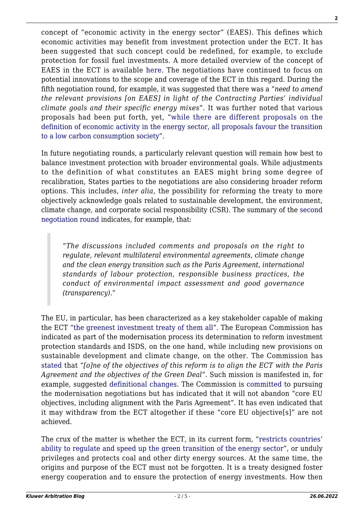concept of "economic activity in the energy sector" (EAES). This defines which economic activities may benefit from investment protection under the ECT. It has been suggested that such concept could be redefined, for example, to exclude protection for fossil fuel investments. A more detailed overview of the concept of EAES in the ECT is available [here](http://arbitrationblog.kluwerarbitration.com/2021/03/21/the-eus-bittersweet-proposal-to-redefine-economic-activity-under-the-energy-charter-treaty-expected-implications-for-international-arbitration/). The negotiations have continued to focus on potential innovations to the scope and coverage of the ECT in this regard. During the fifth negotiation round, for example, it was suggested that there was a "*need to amend the relevant provisions [on EAES] in light of the Contracting Parties' individual climate goals and their specific energy mixes*". It was further noted that various proposals had been put forth, yet, "[while there are different proposals on the](http://arbitrationblog.kluwerarbitration.com/2021/03/29/asil-drig-the-future-of-investor-state-dispute-settlement-under-the-energy-charter-treaty/) [definition of economic activity in the energy sector, all proposals favour the transition](http://arbitrationblog.kluwerarbitration.com/2021/03/29/asil-drig-the-future-of-investor-state-dispute-settlement-under-the-energy-charter-treaty/) [to a low carbon consumption society](http://arbitrationblog.kluwerarbitration.com/2021/03/29/asil-drig-the-future-of-investor-state-dispute-settlement-under-the-energy-charter-treaty/)".

In future negotiating rounds, a particularly relevant question will remain how best to balance investment protection with broader environmental goals. While adjustments to the definition of what constitutes an EAES might bring some degree of recalibration, States parties to the negotiations are also considering broader reform options. This includes, *inter alia*, the possibility for reforming the treaty to more objectively acknowledge goals related to sustainable development, the environment, climate change, and corporate social responsibility (CSR). The summary of the [second](https://www.energycharter.org/media/news/article/public-communication-on-the-second-negotiation-round-on-the-modernisation-of-the-ect-publich/) [negotiation round](https://www.energycharter.org/media/news/article/public-communication-on-the-second-negotiation-round-on-the-modernisation-of-the-ect-publich/) indicates, for example, that:

"*The discussions included comments and proposals on the right to regulate, relevant multilateral environmental agreements, climate change and the clean energy transition such as the Paris Agreement, international standards of labour protection, responsible business practices, the conduct of environmental impact assessment and good governance (transparency)*."

The EU, in particular, has been characterized as a key stakeholder capable of making the ECT ["the greenest investment treaty of them all"](http://arbitrationblog.kluwerarbitration.com/2020/07/25/ect-modernisation-perspectives-can-the-eu-make-the-ect-the-greenest-investment-treaty-of-them-all/). The European Commission has indicated as part of the modernisation process its determination to reform investment protection standards and ISDS, on the one hand, while including new provisions on sustainable development and climate change, on the other. The Commission has [stated](https://www.europarl.europa.eu/doceo/document/P-9-2020-005555-ASW_EN.pdf) that "*[o]ne of the objectives of this reform is to align the ECT with the Paris Agreement and the objectives of the Green Deal*". Such mission is manifested in, for example, suggested [definitional changes](https://trade.ec.europa.eu/doclib/docs/2021/february/tradoc_159436.pdf). The Commission is [committed](https://www.europarl.europa.eu/doceo/document/P-9-2020-005555-ASW_EN.pdf) to pursuing the modernisation negotiations but has indicated that it will not abandon "core EU objectives, including alignment with the Paris Agreement". It has even indicated that it may withdraw from the ECT altogether if these "core EU objective[s]" are not achieved.

The crux of the matter is whether the ECT, in its current form, "[restricts countries'](https://caneurope.org/content/uploads/2021/03/Media-briefing_Energy-Charter-Treaty-reform_March-2021_CAN-Europe.pdf) [ability to regulate and speed up the green transition of the energy sector"](https://caneurope.org/content/uploads/2021/03/Media-briefing_Energy-Charter-Treaty-reform_March-2021_CAN-Europe.pdf), or unduly privileges and protects coal and other dirty energy sources. At the same time, the origins and purpose of the ECT must not be forgotten. It is a treaty designed foster energy cooperation and to ensure the protection of energy investments. How then

**2**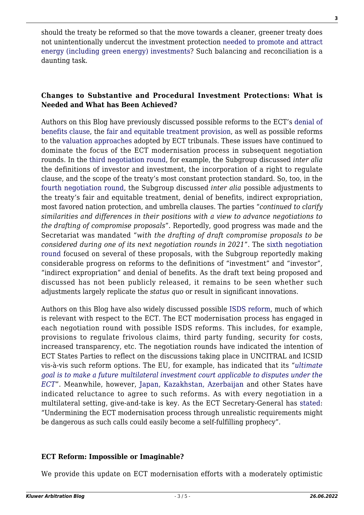should the treaty be reformed so that the move towards a cleaner, greener treaty does not unintentionally undercut the investment protection [needed to promote and attract](https://www.dfat.gov.au/sites/default/files/bit-review-submission-anu-grand-challenge-zero-carbon-energy-asia-pacific.pdf) [energy \(including green energy\) investments](https://www.dfat.gov.au/sites/default/files/bit-review-submission-anu-grand-challenge-zero-carbon-energy-asia-pacific.pdf)? Such balancing and reconciliation is a daunting task.

## **Changes to Substantive and Procedural Investment Protections: What is Needed and What has Been Achieved?**

Authors on this Blog have previously discussed possible reforms to the ECT's [denial of](http://arbitrationblog.kluwerarbitration.com/2020/07/22/ect-modernisation-perspectives-ect-modernisation-and-the-denial-of-benefits-clause-where-the-practice-meets-the-law/) [benefits clause](http://arbitrationblog.kluwerarbitration.com/2020/07/22/ect-modernisation-perspectives-ect-modernisation-and-the-denial-of-benefits-clause-where-the-practice-meets-the-law/), the [fair and equitable treatment provision,](http://arbitrationblog.kluwerarbitration.com/2020/07/23/ect-modernisation-perspectives-reforming-the-fair-and-equitable-treatment-protection/) as well as possible reforms to the [valuation approaches](http://arbitrationblog.kluwerarbitration.com/2020/07/24/ect-modernisation-perspectives-quantum-indetermination-in-the-current-ect-framework-a-need-to-revamp-damages-provisions-in-the-pursuit-of-full-reparation/) adopted by ECT tribunals. These issues have continued to dominate the focus of the ECT modernisation process in subsequent negotiation rounds. In the [third negotiation round](https://www.energycharter.org/media/news/article/public-communication-on-the-third-negotiation-round-on-the-modernisation-of-the-ect-publichn/), for example, the Subgroup discussed *inter alia* the definitions of investor and investment, the incorporation of a right to regulate clause, and the scope of the treaty's most constant protection standard. So, too, in the [fourth negotiation round,](https://www.energycharter.org/media/news/article/public-communication-on-the-fourth-negotiation-round-of-the-modernisation-of-the-ect-publich/) the Subgroup discussed *inter alia* possible adjustments to the treaty's fair and equitable treatment, denial of benefits, indirect expropriation, most favored nation protection, and umbrella clauses. The parties "*continued to clarify similarities and differences in their positions with a view to advance negotiations to the drafting of compromise proposals*". Reportedly, good progress was made and the Secretariat was mandated "*with the drafting of draft compromise proposals to be considered during one of its next negotiation rounds in 2021*". The [sixth negotiation](https://www.energycharter.org/media/news/article/public-communication-on-the-sixth-negotiation-round-of-the-modernisation-of-the-ect-publichn/?tx_news_pi1%5Bcontroller%5D=News&tx_news_pi1%5Baction%5D=detail&cHash=31c0ac431197cd4a611e7798e3d26e5a) [round](https://www.energycharter.org/media/news/article/public-communication-on-the-sixth-negotiation-round-of-the-modernisation-of-the-ect-publichn/?tx_news_pi1%5Bcontroller%5D=News&tx_news_pi1%5Baction%5D=detail&cHash=31c0ac431197cd4a611e7798e3d26e5a) focused on several of these proposals, with the Subgroup reportedly making considerable progress on reforms to the definitions of "investment" and "investor", "indirect expropriation" and denial of benefits. As the draft text being proposed and discussed has not been publicly released, it remains to be seen whether such adjustments largely replicate the *status quo* or result in significant innovations.

Authors on this Blog have also widely discussed possible [ISDS reform](http://arbitrationblog.kluwerarbitration.com/category/isds-reform/), much of which is relevant with respect to the ECT. The ECT modernisation process has engaged in each negotiation round with possible ISDS reforms. This includes, for example, provisions to regulate frivolous claims, third party funding, security for costs, increased transparency, etc. The negotiation rounds have indicated the intention of ECT States Parties to reflect on the discussions taking place in UNCITRAL and ICSID vis-à-vis such reform options. The EU, for example, has indicated that its "*[ultimate](http://arbitrationblog.kluwerarbitration.com/2021/03/29/asil-drig-the-future-of-investor-state-dispute-settlement-under-the-energy-charter-treaty/) [goal is to make a future multilateral investment court applicable to disputes under the](http://arbitrationblog.kluwerarbitration.com/2021/03/29/asil-drig-the-future-of-investor-state-dispute-settlement-under-the-energy-charter-treaty/) [ECT](http://arbitrationblog.kluwerarbitration.com/2021/03/29/asil-drig-the-future-of-investor-state-dispute-settlement-under-the-energy-charter-treaty/)*". Meanwhile, however, [Japan, Kazakhstan, Azerbaijan](https://caneurope.org/content/uploads/2021/03/Media-briefing_Energy-Charter-Treaty-reform_March-2021_CAN-Europe.pdf) and other States have indicated reluctance to agree to such reforms. As with every negotiation in a multilateral setting, give-and-take is key. As the ECT Secretary-General has [stated](https://www.energycharter.org/media/news/article/comment-quo-vadis-energy-charter-treaty/?tx_news_pi1%5Bcontroller%5D=News&tx_news_pi1%255%E2%80%A6%201/3%20Comment:%20Quo%20Vadis%20Energy%20Charter%20Treaty?): "Undermining the ECT modernisation process through unrealistic requirements might be dangerous as such calls could easily become a self-fulfilling prophecy".

#### **ECT Reform: Impossible or Imaginable?**

We provide this update on ECT modernisation efforts with a moderately optimistic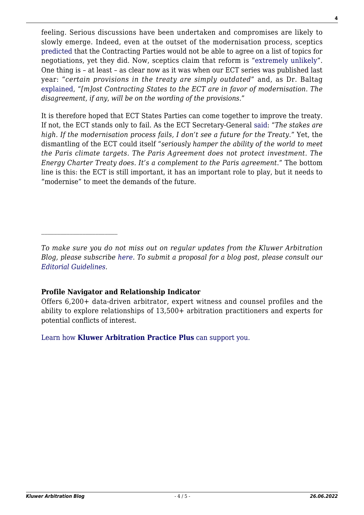feeling. Serious discussions have been undertaken and compromises are likely to slowly emerge. Indeed, even at the outset of the modernisation process, sceptics [predicted](https://www.energycharter.org/media/news/article/comment-quo-vadis-energy-charter-treaty/?tx_news_pi1%5Bcontroller%5D=News&tx_news_pi1%255%E2%80%A6%201/3%20Comment:%20Quo%20Vadis%20Energy%20Charter%20Treaty?) that the Contracting Parties would not be able to agree on a list of topics for negotiations, yet they did. Now, sceptics claim that reform is ["extremely unlikely"](https://caneurope.org/content/uploads/2021/03/Media-briefing_Energy-Charter-Treaty-reform_March-2021_CAN-Europe.pdf). One thing is – at least – as clear now as it was when our ECT series was published last year: "*certain provisions in the treaty are simply outdated*" and, as Dr. Baltag [explained,](http://arbitrationblog.kluwerarbitration.com/2021/03/29/asil-drig-the-future-of-investor-state-dispute-settlement-under-the-energy-charter-treaty/) "*[m]ost Contracting States to the ECT are in favor of modernisation. The disagreement, if any, will be on the wording of the provisions*."

It is therefore hoped that ECT States Parties can come together to improve the treaty. If not, the ECT stands only to fail. As the ECT Secretary-General [said](https://borderlex.net/2020/06/18/interview-a-new-energy-charter-treaty-as-a-complement-to-the-paris-agreement-on-climate-change/): "*The stakes are high. If the modernisation process fails, I don't see a future for the Treaty*." Yet, the dismantling of the ECT could itself "*seriously hamper the ability of the world to meet the Paris climate targets. The Paris Agreement does not protect investment. The Energy Charter Treaty does. It's a complement to the Paris agreement*." The bottom line is this: the ECT is still important, it has an important role to play, but it needs to "modernise" to meet the demands of the future.

#### **Profile Navigator and Relationship Indicator**

 $\mathcal{L}_\text{max}$ 

Offers 6,200+ data-driven arbitrator, expert witness and counsel profiles and the ability to explore relationships of 13,500+ arbitration practitioners and experts for potential conflicts of interest.

[Learn how](https://www.wolterskluwer.com/en/solutions/kluwerarbitration/practiceplus?utm_source=arbitrationblog&utm_medium=articleCTA&utm_campaign=article-banner) **[Kluwer Arbitration Practice Plus](https://www.wolterskluwer.com/en/solutions/kluwerarbitration/practiceplus?utm_source=arbitrationblog&utm_medium=articleCTA&utm_campaign=article-banner)** [can support you.](https://www.wolterskluwer.com/en/solutions/kluwerarbitration/practiceplus?utm_source=arbitrationblog&utm_medium=articleCTA&utm_campaign=article-banner)

**4**

*To make sure you do not miss out on regular updates from the Kluwer Arbitration Blog, please subscribe [here](http://arbitrationblog.kluwerarbitration.com/newsletter/). To submit a proposal for a blog post, please consult our [Editorial Guidelines.](http://arbitrationblog.kluwerarbitration.com/editorial-guidelines/)*